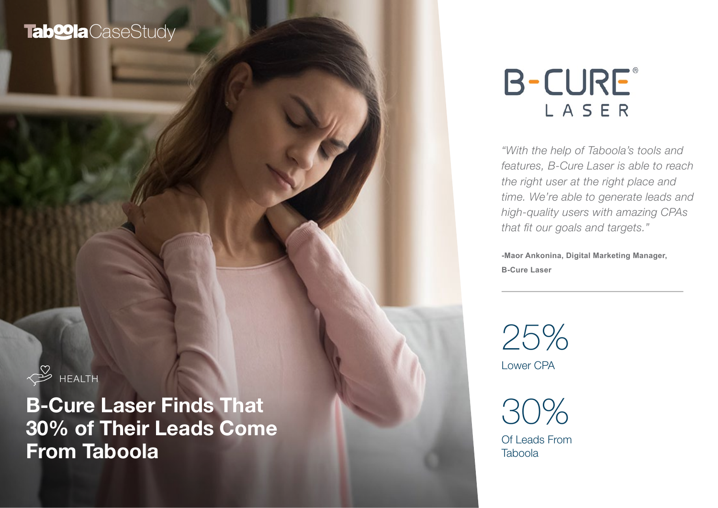# Tab<sup>oo</sup>la CaseStudy

 $\frac{8}{\sqrt{2}}$  HEALTH

B-Cure Laser Finds That 30% of Their Leads Come From Taboola

# **B-CURE®** LASER

*"With the help of Taboola's tools and features, B-Cure Laser is able to reach the right user at the right place and time. We're able to generate leads and high-quality users with amazing CPAs that fit our goals and targets."* 

**-Maor Ankonina, Digital Marketing Manager, B-Cure Laser**

Lower CPA 25%

30%

Of Leads From **Taboola**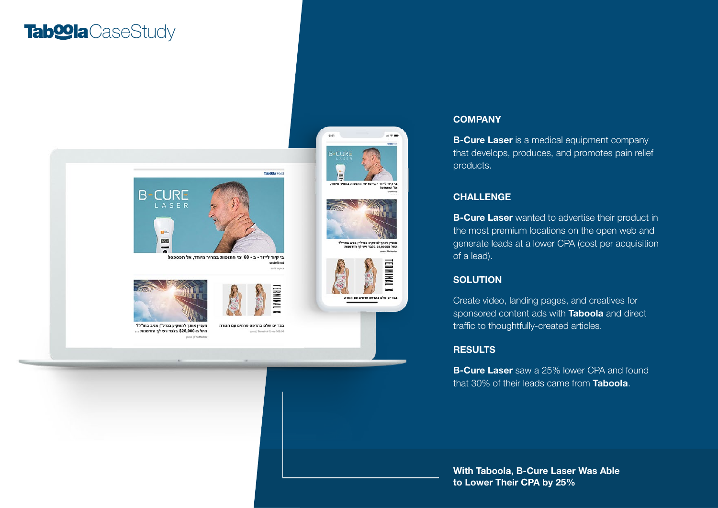## Tab**<sup>o</sup>la**CaseStudy



מעניין אותך להשקיע בנדל"ן מניב בחו"ל? החל מ-\$25,000 בלבד ויש לך הזדמנות ...

בגד ים שלם בהדפס פרחים עם חגורה Terminal X . as 166.60



#### **COMPANY**

**B-Cure Laser** is a medical equipment company that develops, produces, and promotes pain relief products.

#### CHALLENGE

**B-Cure Laser** wanted to advertise their product in the most premium locations on the open web and generate leads at a lower CPA (cost per acquisition of a lead).

#### **SOLUTION**

Create video, landing pages, and creatives for sponsored content ads with **Taboola** and direct traffic to thoughtfully-created articles.

#### **RESULTS**

**B-Cure Laser** saw a 25% lower CPA and found that 30% of their leads came from **Taboola**.

With Taboola, B-Cure Laser Was Able to Lower Their CPA by 25%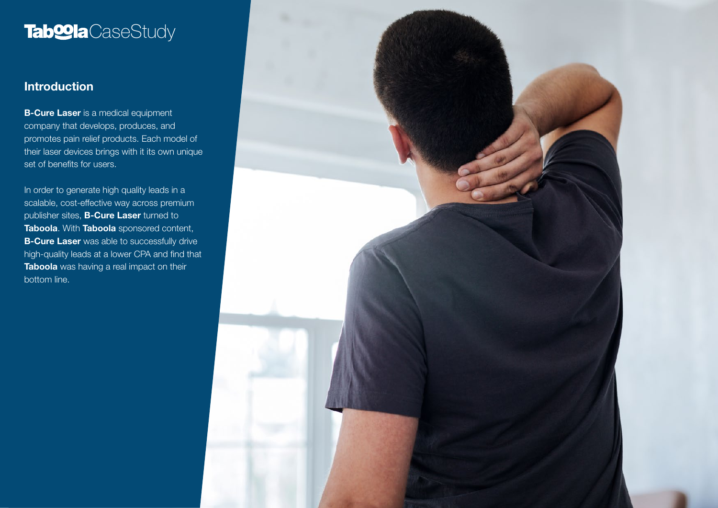# **Tab@la**CaseStudy

### **Introduction**

**B-Cure Laser** is a medical equipment company that develops, produces, and promotes pain relief products. Each model of their laser devices brings with it its own unique set of benefits for users.

In order to generate high quality leads in a scalable, cost-effective way across premium publisher sites, **B-Cure Laser** turned to Taboola. With Taboola sponsored content, **B-Cure Laser** was able to successfully drive high-quality leads at a lower CPA and find that Taboola was having a real impact on their bottom line.